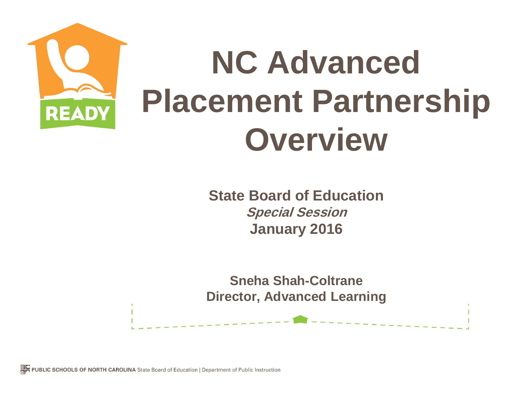

**State Board of Education Special Session January 2016**

**Sneha Shah-Coltrane Director, Advanced Learning**

JBLIC SCHOOLS OF NORTH CAROLINA State Board of Education | Department of Public Instruction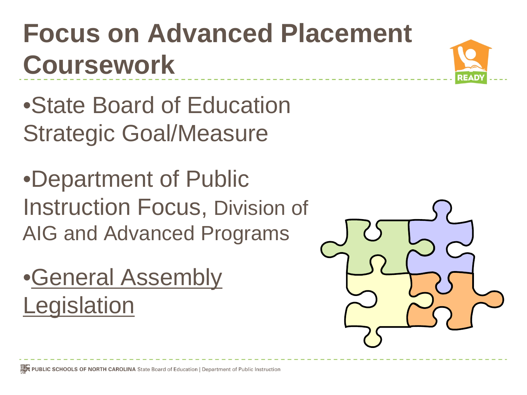#### **Focus on Advanced Placement Coursework**



•State Board of Education Strategic Goal/Measure

•Department of Public Instruction Focus, Division of AIG and Advanced Programs

•General Assembly **Legislation** 

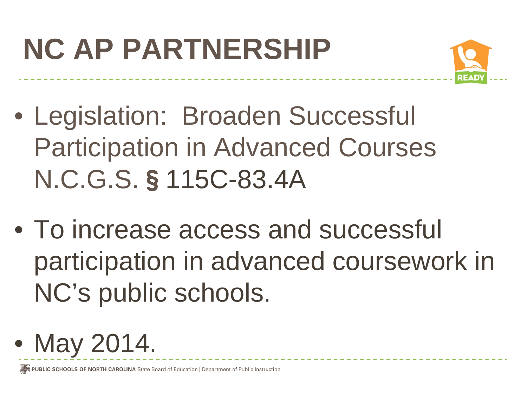# **NC AP PARTNERSHIP**



- Legislation: Broaden Successful Participation in Advanced Courses N.C.G.S.§115C-83.4A
- To increase access and successful participation in advanced coursework in NC's public schools.
- May 2014.

PUBLIC SCHOOLS OF NORTH CAROLINA State Board of Education | Department of Public Instruction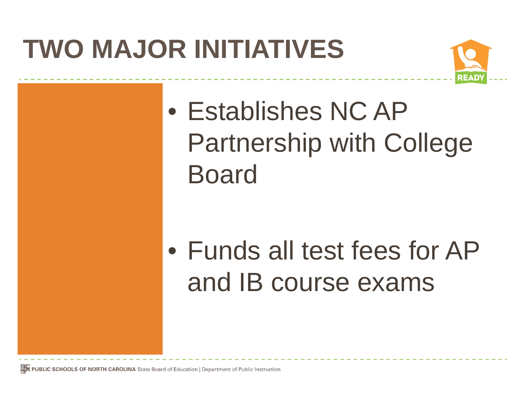#### **TWO MAJOR INITIATIVES**



• Establishes NC AP Partnership with College Board

• Funds all test fees for AP and IB course exams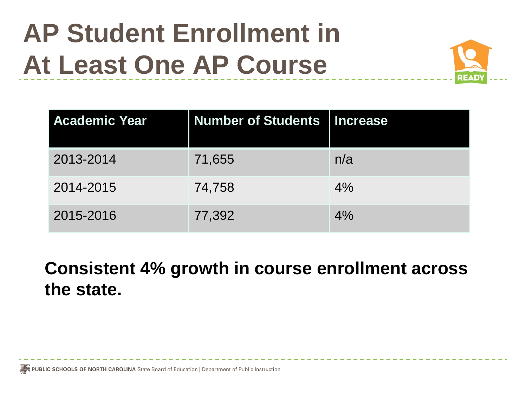#### **AP Student Enrollment in At Least One AP Course**



| <b>Academic Year</b> | <b>Number of Students   Increase</b> |     |
|----------------------|--------------------------------------|-----|
| 2013-2014            | 71,655                               | n/a |
| 2014-2015            | 74,758                               | 4%  |
| 2015-2016            | 77,392                               | 4%  |

**Consistent 4% growth in course enrollment across the state.** 

PUBLIC SCHOOLS OF NORTH CAROLINA State Board of Education | Department of Public Instruction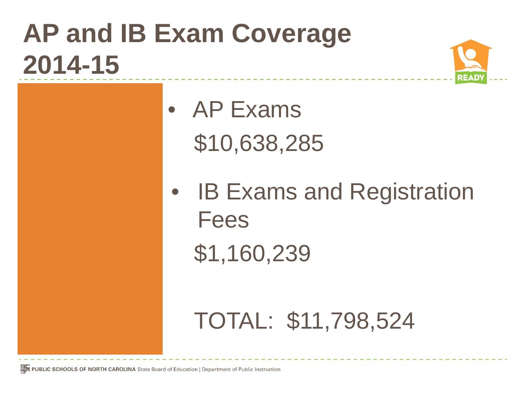### **AP and IB Exam Coverage 2014-15**



• AP Exams \$10,638,285

• IB Exams and Registration Fees \$1,160,239

#### TOTAL: \$11,798,524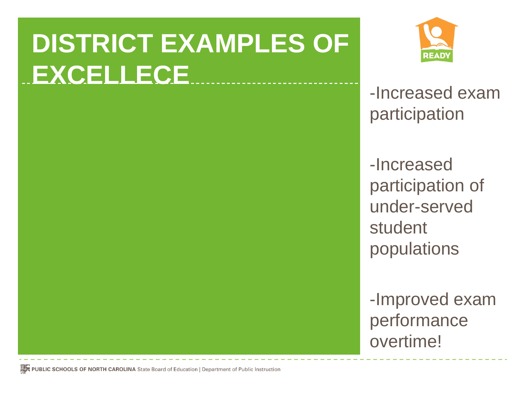## **DISTRICT EXAMPLES OF EXCELLECE** -Increased exam



participation

-Increased participation of under-served student populations

-Improved exam performance overtime!

PUBLIC SCHOOLS OF NORTH CAROLINA State Board of Education | Department of Public Instruction